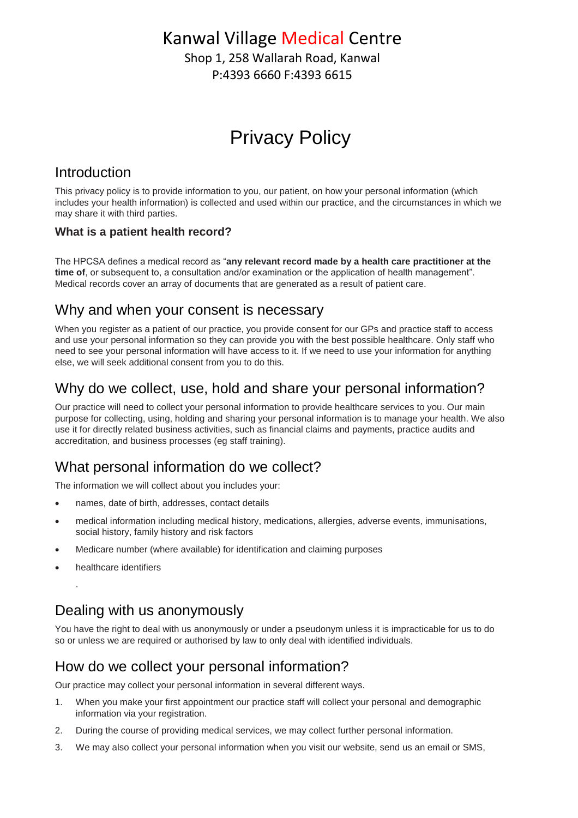# Kanwal Village Medical Centre

Shop 1, 258 Wallarah Road, Kanwal P:4393 6660 F:4393 6615

# Privacy Policy

#### Introduction

This privacy policy is to provide information to you, our patient, on how your personal information (which includes your health information) is collected and used within our practice, and the circumstances in which we may share it with third parties.

#### **What is a patient health record?**

The HPCSA defines a medical record as "**any relevant record made by a health care practitioner at the time of**, or subsequent to, a consultation and/or examination or the application of health management". Medical records cover an array of documents that are generated as a result of patient care.

### Why and when your consent is necessary

When you register as a patient of our practice, you provide consent for our GPs and practice staff to access and use your personal information so they can provide you with the best possible healthcare. Only staff who need to see your personal information will have access to it. If we need to use your information for anything else, we will seek additional consent from you to do this.

### Why do we collect, use, hold and share your personal information?

Our practice will need to collect your personal information to provide healthcare services to you. Our main purpose for collecting, using, holding and sharing your personal information is to manage your health. We also use it for directly related business activities, such as financial claims and payments, practice audits and accreditation, and business processes (eg staff training).

### What personal information do we collect?

The information we will collect about you includes your:

- names, date of birth, addresses, contact details
- medical information including medical history, medications, allergies, adverse events, immunisations, social history, family history and risk factors
- Medicare number (where available) for identification and claiming purposes
- healthcare identifiers

.

### Dealing with us anonymously

You have the right to deal with us anonymously or under a pseudonym unless it is impracticable for us to do so or unless we are required or authorised by law to only deal with identified individuals.

### How do we collect your personal information?

Our practice may collect your personal information in several different ways.

- 1. When you make your first appointment our practice staff will collect your personal and demographic information via your registration.
- 2. During the course of providing medical services, we may collect further personal information.
- 3. We may also collect your personal information when you visit our website, send us an email or SMS,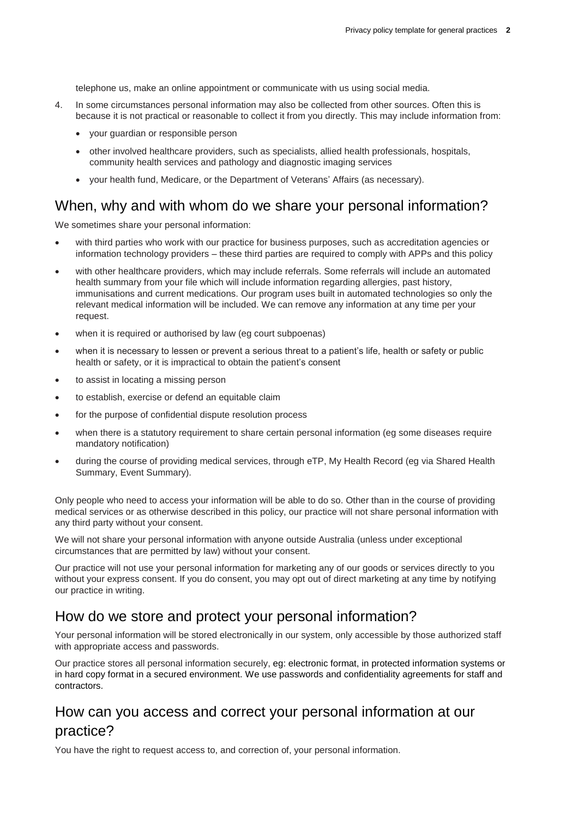telephone us, make an online appointment or communicate with us using social media.

- 4. In some circumstances personal information may also be collected from other sources. Often this is because it is not practical or reasonable to collect it from you directly. This may include information from:
	- your guardian or responsible person
	- other involved healthcare providers, such as specialists, allied health professionals, hospitals, community health services and pathology and diagnostic imaging services
	- your health fund, Medicare, or the Department of Veterans' Affairs (as necessary).

#### When, why and with whom do we share your personal information?

We sometimes share your personal information:

- with third parties who work with our practice for business purposes, such as accreditation agencies or information technology providers – these third parties are required to comply with APPs and this policy
- with other healthcare providers, which may include referrals. Some referrals will include an automated health summary from your file which will include information regarding allergies, past history, immunisations and current medications. Our program uses built in automated technologies so only the relevant medical information will be included. We can remove any information at any time per your request.
- when it is required or authorised by law (eg court subpoenas)
- when it is necessary to lessen or prevent a serious threat to a patient's life, health or safety or public health or safety, or it is impractical to obtain the patient's consent
- to assist in locating a missing person
- to establish, exercise or defend an equitable claim
- for the purpose of confidential dispute resolution process
- when there is a statutory requirement to share certain personal information (eg some diseases require mandatory notification)
- during the course of providing medical services, through eTP, My Health Record (eg via Shared Health Summary, Event Summary).

Only people who need to access your information will be able to do so. Other than in the course of providing medical services or as otherwise described in this policy, our practice will not share personal information with any third party without your consent.

We will not share your personal information with anyone outside Australia (unless under exceptional circumstances that are permitted by law) without your consent.

Our practice will not use your personal information for marketing any of our goods or services directly to you without your express consent. If you do consent, you may opt out of direct marketing at any time by notifying our practice in writing.

#### How do we store and protect your personal information?

Your personal information will be stored electronically in our system, only accessible by those authorized staff with appropriate access and passwords.

Our practice stores all personal information securely, eg: electronic format, in protected information systems or in hard copy format in a secured environment. We use passwords and confidentiality agreements for staff and contractors.

### How can you access and correct your personal information at our practice?

You have the right to request access to, and correction of, your personal information.